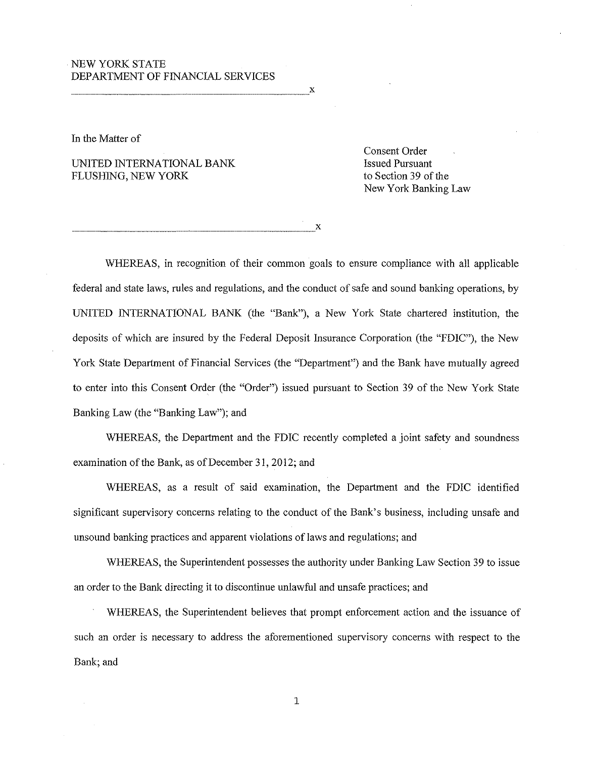# ·NEW YORK STATE DEPARTMENT OF FINANCIAL SERVICES

---------------------------------------X

In the Matter of

UNITED INTERNATIONAL BANK<br>
FLUSHING, NEW YORK to Section 39 of the FLUSHING, NEW YORK

Consent Order New York Banking Law

-------------------------------------X

WHEREAS, in recognition of their common goals to ensure compliance with all applicable federal and state Jaws, rules and regulations, and the conduct of safe and sound banking operations, by UNITED INTERNATIONAL BANK (the "Bank"), a New York State chartered institution, the deposits of which are insured by the Federal Deposit Insurance Corporation (the "FDIC"), the New York State Department of Financial Services (the "Department") and the Bank have mutually agreed to enter into this Consent Order (the "Order") issued pursuant to Section 39 of the New York State Banking Law (the "Banking Law"); and

WHEREAS, the Department and the FDIC recently completed a joint safety and soundness examination of the Bank, as of December 31, 2012; and

WHEREAS, as a result of said examination, the Department and the FDIC identified significant supervisory concerns relating to the conduct of the Bank's business, including unsafe and unsound banking practices and apparent violations of Jaws and regulations; and

WHEREAS, the Superintendent possesses the authority under Banking Law Section 39 to issue an order to the Bank directing it to discontinue unlawful and unsafe practices; and

WHEREAS, the Superintendent believes that prompt enforcement action and the issuance of such an order is necessary to address the aforementioned supervisory concerns with respect to the Bank; and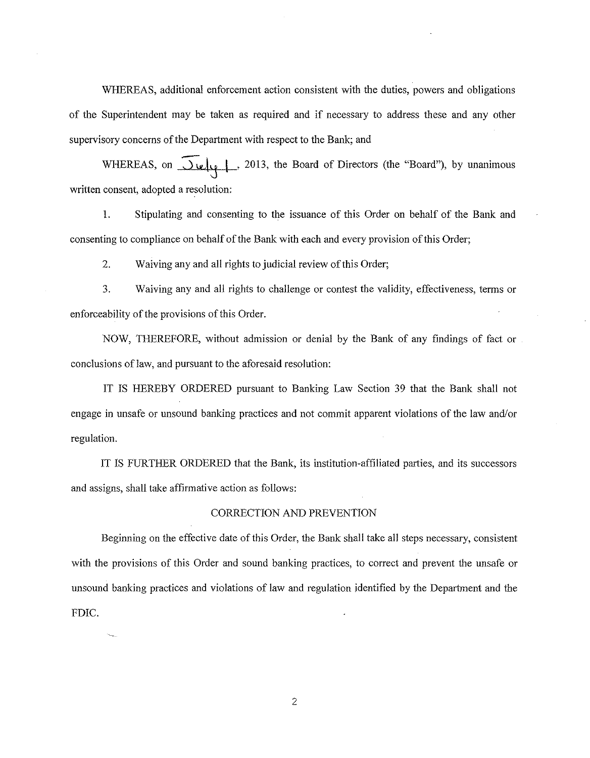WHEREAS, additional enforcement action consistent with the duties, powers and obligations of the Superintendent may be taken as required and if necessary to address these and any other supervisory concerns of the Department with respect to the Bank; and

WHEREAS, on  $\overline{\bigcup_{\psi}\bigcup_{\varphi}}$ , 2013, the Board of Directors (the "Board"), by unanimous written consent, adopted a resolution:

1. Stipulating and consenting to the issuance of this Order on behalf of the Bank and consenting to compliance on behalf of the Bank with each and every provision of this Order;

2. Waiving any and all rights to judicial review of this Order;

3. Waiving any and all rights to challenge or contest the validity, effectiveness, terms or enforceability of the provisions of this Order.

NOW, THEREFORE, without admission or denial by the Bank of any findings of fact or conclusions of law, and pursuant to the aforesaid resolution:

IT IS HEREBY ORDERED pursuant to Banking Law Section 39 that the Bank shall not engage in unsafe or unsound banking practices and not commit apparent violations of the law and/or regulation.

IT IS FURTHER ORDERED that the Bank, its institution-affiliated parties, and its successors and assigns, shall take affirmative action as follows:

### CORRECTION AND PREVENTION

Beginning on the effective date of this Order, the Bank shall take all steps necessary, consistent with the provisions of this Order and sound banking practices, to correct and prevent the unsafe or unsound banking practices and violations of law and regulation identified by the Department and the FDIC.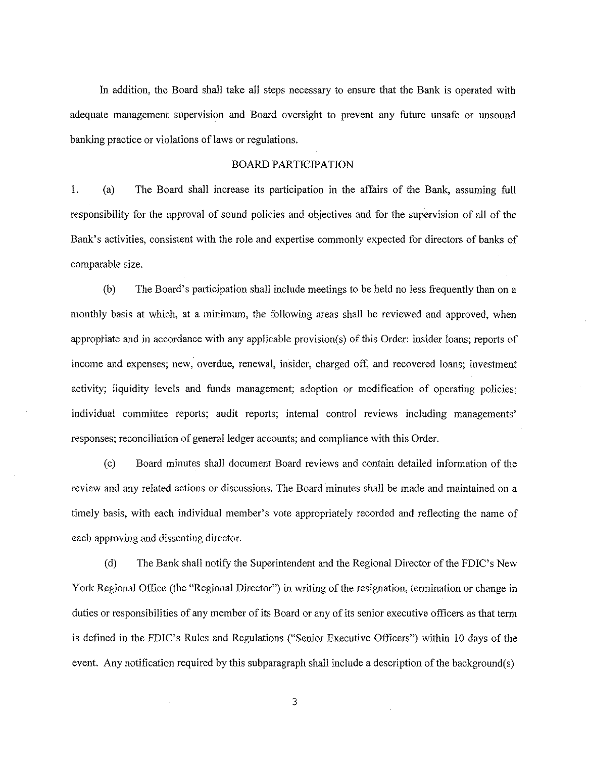In addition, the Board shall take all steps necessary to ensure that the Bank is operated with adequate management supervision and Board oversight to prevent any future unsafe or unsound banking practice or violations of laws or regulations.

## BOARD PARTICIPATION

1. (a) The Board shall increase its participation in the affairs of the Bank, assuming full responsibility for the approval of sound policies and objectives and for the supervision of all of the Bank's activities, consistent with the role and expertise commonly expected for directors of banks of comparable size.

(b) The Board's participation shall include meetings to be held no less frequently than on a monthly basis at which, at a minimum, the following areas shall be reviewed and approved, when appropriate and in accordance with any applicable provision(s) of this Order: insider loans; reports of income and expenses; new, overdue, renewal, insider, charged off, and recovered loans; investment activity; liquidity levels and funds management; adoption or modification of operating policies; individual committee reports; audit reports; internal control reviews including managements' responses; reconciliation of general ledger accounts; and compliance with this Order.

(c) Board minutes shall document Board reviews and contain detailed information of the review and any related actions or discussions. The Board minutes shall be made and maintained on a timely basis, with each individual member's vote appropriately recorded and reflecting the name of each approving and dissenting director.

(d) The Bank shall notify the Superintendent and the Regional Director of the FDIC's New York Regional Office (the "Regional Director") in writing of the resignation, termination or change in duties or responsibilities of any member of its Board or any of its senior executive officers as that term is defined in the FDIC's Rules and Regulations ("Senior Executive Officers") within 10 days of the event. Any notification required by this subparagraph shall include a description of the background(s)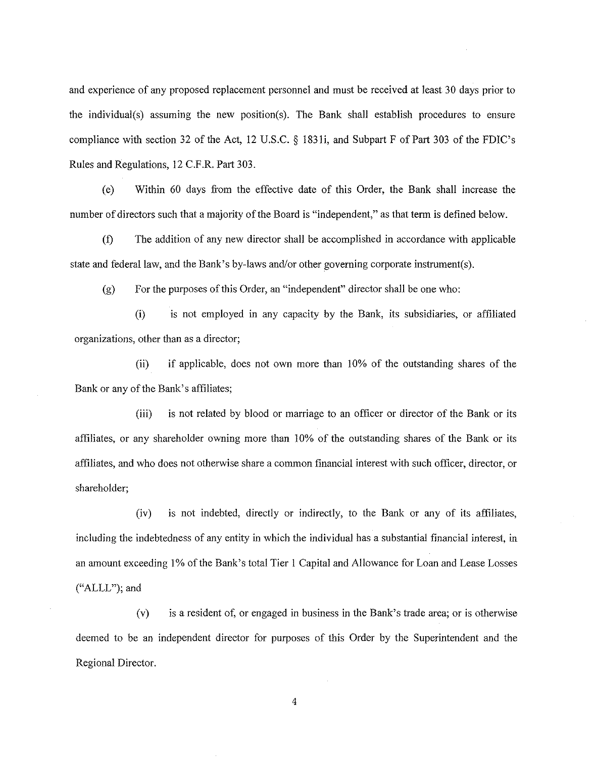and experience of any proposed replacement personnel and must be received at least 30 days prior to the individual(s) assuming the new position(s). The Bank shall establish procedures to ensure compliance with section 32 of the Act, 12 U.S.C. § 183li, and Subpart F of Part 303 of the FDIC's Rules and Regulations, 12 C.F .R. Part 303.

(e) Within 60 days from the effective date of this Order, the Bank shall increase the number of directors such that a majority of the Board is "independent," as that term is defined below.

(f) The addition of any new director shall be accomplished in accordance with applicable state and federal law, and the Bank's by-laws and/or other governing corporate instrument(s).

 $(g)$  For the purposes of this Order, an "independent" director shall be one who:

(i) is not employed in any capacity by the Bank, its subsidiaries, or affiliated organizations, other than as a director;

(ii) if applicable, does not own more than 10% of the outstanding shares of the Bank or any of the Bank's affiliates;

(iii) is not related by blood or marriage to an officer or director of the Bank or its affiliates, or any shareholder owning more than I 0% of the outstanding shares of the Bank or its affiliates, and who does not otherwise share a common financial interest with such officer, director, or shareholder;

(iv) is not indebted, directly or indirectly, to the Bank or any of its affiliates, including the indebtedness of any entity in which the individual has a substantial financial interest, in an amount exceeding I% of the Bank's total Tier I Capital and Allowance for Loan and Lease Losses ("ALLL"); and

(v) is a resident of, or engaged in business in the Bank's trade area; or is otherwise deemed to be an independent director for purposes of this Order by the Superintendent and the Regional Director.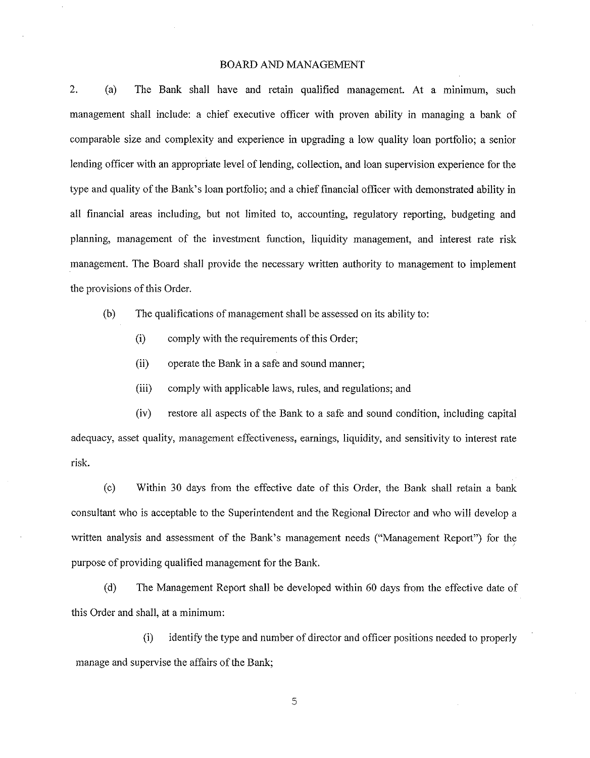### BOARD AND MANAGEMENT

2. (a) The Bank shall have and retain qualified management. At a minimum, such management shall include: a chief executive officer with proven ability in managing a bank of comparable size and complexity and experience in upgrading a low quality loan portfolio; a senior lending officer with an appropriate level of lending, collection, and loan supervision experience for the type and quality of the Bank's loan portfolio; and a chief financial officer with demonstrated ability in all financial areas including, but not limited to, accounting, regulatory reporting, budgeting and planning, management of the investment function, liquidity management, and interest rate risk management. The Board shall provide the necessary written authority to management to implement the provisions of this Order.

(b) The qualifications of management shall be assessed on its ability to:

- (i) comply with the requirements of this Order;
- (ii) operate the Bank in a safe and sound manner;
- (iii) comply with applicable laws, rules, and regulations; and

(iv) restore all aspects of the Bank to a safe and sound condition, including capital adequacy, asset quality, management effectiveness, earnings, liquidity, and sensitivity to interest rate risk.

(c) Within 30 days from the effective date of this Order, the Bank shall retain a bank consultant who is acceptable to the Superintendent and the Regional Director and who will develop a written analysis and assessment of the Bank's management needs ("Management Report") for the purpose of providing qualified management for the Bank.

(d) The Management Report shall be developed within 60 days from the effective date of this Order and shall, at a minimum:

(i) identify the type and number of director and officer positions needed to properly manage and supervise the affairs of the Bank;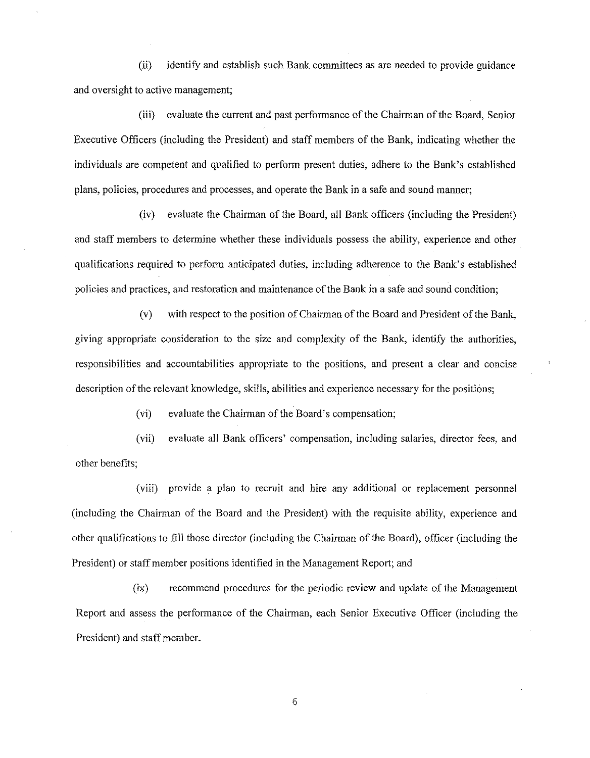(ii) identifY and establish such Bank committees as are needed to provide guidance and oversight to active management;

(iii) evaluate the current and past performance of the Chairman ofthe Board, Senior Executive Officers (including the President) and staff members of the Bank, indicating whether the individuals are competent and qualified to perform present duties, adhere to the Bank's established plans, policies, procedures and processes, and operate the Bank in a safe and sound manner;

(iv) evaluate the Chairman of the Board, all Bank officers (including the President) and staff members to determine whether these individuals possess the ability, experience and other qualifications required to perform anticipated duties, including adherence to the Bank's established policies and practices, and restoration and maintenance ofthe Bank in a safe and sound condition;

(v) with respect to the position of Chairman of the Board and President ofthe Bank, giving appropriate consideration to the size and complexity of the Bank, identify the authorities, responsibilities and accountabilities appropriate to the positions, and present a clear and concise description of the relevant knowledge, skills, abilities and experience necessary for the positions;

(vi) evaluate the Chairman of the Board's compensation;

(vii) evaluate all Bank officers' compensation, including salaries, director fees, and other benefits;

(viii) provide a plan to recruit and hire any additional or replacement personnel (including the Chairman of the Board and the President) with the requisite ability, experience and other qualifications to fill those director (including the Chairman of the Board), officer (including the President) or staff member positions identified in the Management Report; and

(ix) recommend procedures for the periodic review and update of the Management Report and assess the performance of the Chairman, each Senior Executive Officer (including the President) and staff member.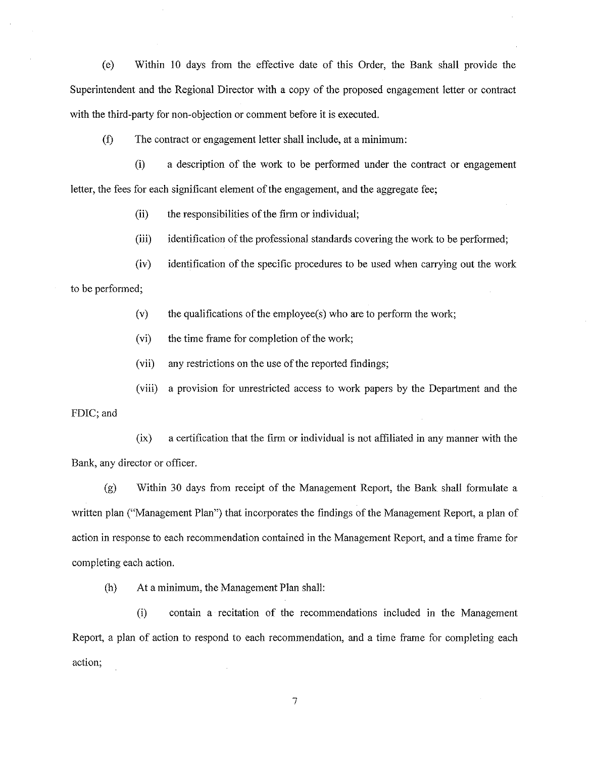(e) Within 10 days from the effective date of this Order, the Bank shall provide the Superintendent and the Regional Director with a copy of the proposed engagement letter or contract with the third-party for non-objection or comment before it is executed.

(f) The contract or engagement letter shall include, at a minimum:

(i) a description of the work to be performed under the contract or engagement letter, the fees for each significant element of the engagement, and the aggregate fee;

 $(ii)$  the responsibilities of the firm or individual;

(iii) identification of the professional standards covering the work to be performed;

(iv) identification of the specific procedures to be used when carrying out the work

to be performed;

 $(v)$  the qualifications of the employee(s) who are to perform the work;

(vi) the time frame for completion of the work;

(vii) any restrictions on the use of the reported findings;

(viii) a provision for unrestricted access to work papers by the Department and the

FDIC; and

(ix) a certification that the firm or individual is not affiliated in any manner with the Bank, any director or officer.

(g) Within 30 days from receipt of the Management Report, the Bank shall formulate a written plan ("Management Plan") that incorporates the findings of the Management Report, a plan of action in response to each recommendation contained in the Management Report, and a time frame for completing each action.

(h) At a minimum, the Management Plan shall:

(i) contain a recitation of the recommendations included in the Management Report, a plan of action to respond to each recommendation, and a time frame for completing each action;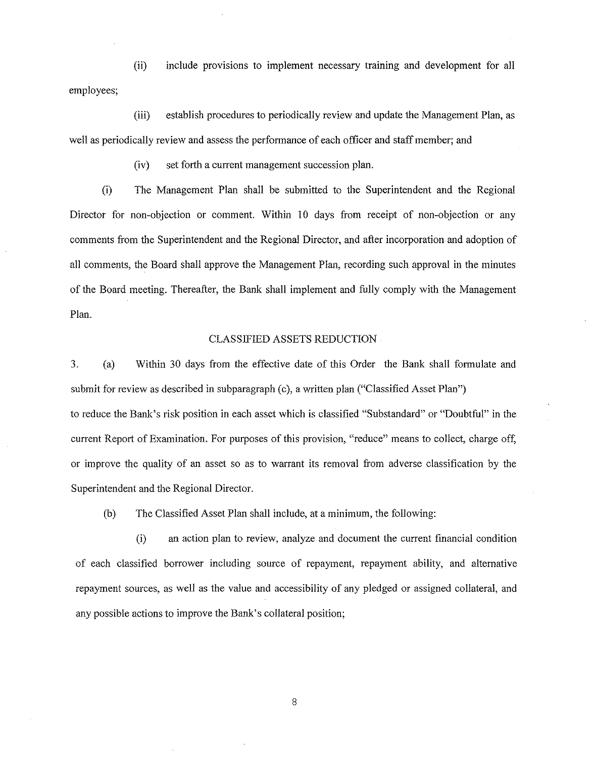(ii) include provisions to implement necessary training and development for all employees;

(iii) establish procedures to periodically review and update the Management Plan, as well as periodically review and assess the performance of each officer and staff member; and

(iv) set forth a current management succession plan.

(i) The Management Plan shall be submitted to the Superintendent and the Regional Director for non-objection or comment. Within 10 days from receipt of non-objection or any comments from the Superintendent and the Regional Director, and after incorporation and adoption of all comments, the Board shall approve the Management Plan, recording such approval in the minutes of the Board meeting. Thereafter, the Bank shall implement and fully comply with the Management Plan.

### CLASSIFIED ASSETS REDUCTION

3. (a) Within 30 days from the effective date of this Order the Bank shall formulate and submit for review as described in subparagraph (c), a written plan ("Classified Asset Plan") to reduce the Bank's risk position in each asset which is classified "Substandard" or "Doubtful" in the current Report of Examination. For purposes of this provision, "reduce" means to collect, charge off, or improve the quality of an asset so as to warrant its removal from adverse classification by the Superintendent and the Regional Director.

(b) The Classified Asset Plan shall include, at a minimum, the following:

(i) an action plan to review, analyze and document the current financial condition of each classified borrower including source of repayment, repayment ability, and alternative repayment sources, as well as the value and accessibility of any pledged or assigned collateral, and any possible actions to improve the Bank's collateral position;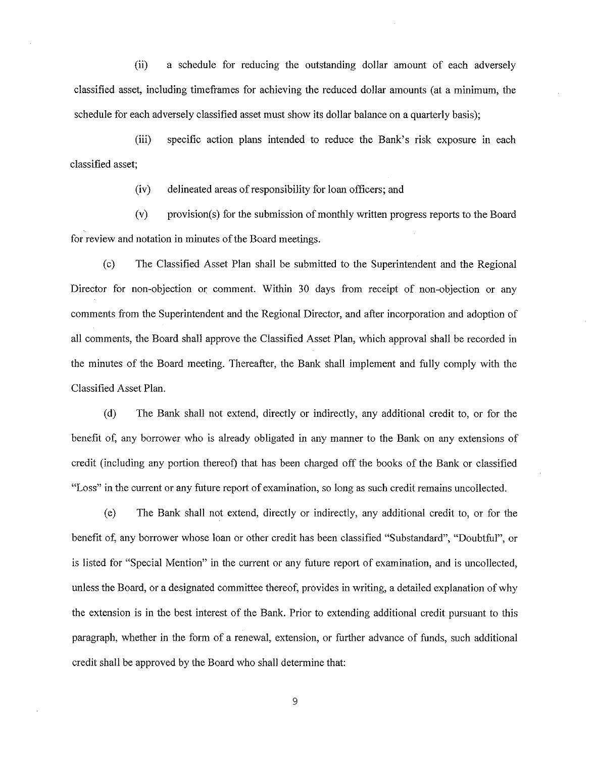(ii) a schedule for reducing the outstanding dollar amount of each adversely classified asset, including time frames for achieving the reduced dollar amounts (at a minimum, the schedule for each adversely classified asset must show its dollar balance on a quarterly basis);

(iii) specific action plans intended to reduce the Bank's risk exposure in each classified asset;

(iv) delineated areas of responsibility for loan officers; and

(v) provision(s) for the submission of monthly written progress reports to the Board for review and notation in minutes of the Board meetings.

(c) The Classified Asset Plan shall be submitted to the Superintendent and the Regional Director for non-objection or comment. Within 30 days from receipt of non-objection or any comments from the Superintendent and the Regional Director, and after incorporation and adoption of all comments, the Board shall approve the Classified Asset Plan, which approval shall be recorded in the minutes of the Board meeting. Thereafter, the Bank shall implement and fully comply with the Classified Asset Plan.

(d) The Bank shall not extend, directly or indirectly, any additional credit to, or for the benefit of, any borrower who is already obligated in any manner to the Bank on any extensions of credit (including any portion thereof) that has been charged off the books of the Bank or classified "Loss" in the current or any future report of examination, so long as such credit remains uncollected.

(e) The Bank shall not extend, directly or indirectly, any additional credit to, or for the benefit of, any borrower whose loan or other credit has been classified "Substandard", "Doubtful", or is listed for "Special Mention" in the current or any future report of examination, and is uncollected, unless the Board, or a designated committee thereof, provides in writing, a detailed explanation of why the extension is in the best interest of the Bank. Prior to extending additional credit pursuant to this paragraph, whether in the form of a renewal, extension, or further advance of funds, such additional credit shall be approved by the Board who shall determine that: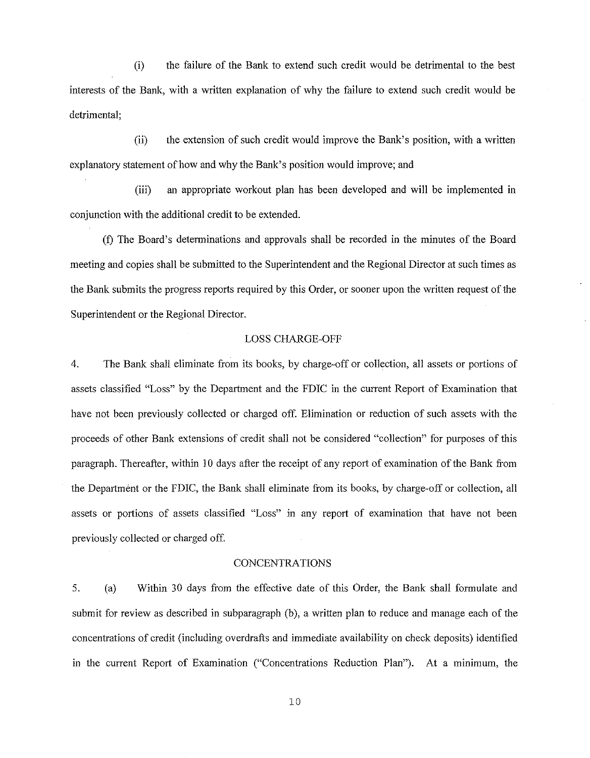(i) the failure of the Bank to extend such credit would be detrimental to the best interests of the Bank, with a written explanation of why the failure to extend such credit would be detrimental;

(ii) the extension of such credit would improve the Bank's position, with a written explanatory statement of how and why the Bank's position would improve; and

(iii) an appropriate workout plan has been developed and will be implemented in conjunction with the additional credit to be extended.

(f) The Board's determinations and approvals shall be recorded in the minutes of the Board meeting and copies shall be submitted to the Superintendent and the Regional Director at such times as the Bank submits the progress reports required by this Order, or sooner upon the written request of the Superintendent or the Regional Director.

### LOSS CHARGE-OFF

4. The Bank shall eliminate from its books, by charge-off or collection, all assets or portions of assets classified "Loss" by the Department and the FDIC in the current Report of Examination that have not been previously collected or charged off. Elimination or reduction of such assets with the proceeds of other Bank extensions of credit shall not be considered "collection" for purposes of this paragraph. Thereafter, within 10 days after the receipt of any report of examination of the Bank from the Department or the FDIC, the Bank shall eliminate from its books, by charge-off or collection, all assets or portions of assets classified "Loss" in any report of examination that have not been previously collected or charged off.

# CONCENTRATIONS

5. (a) Within 30 days from the effective date of this Order, the Bank shall formulate and submit for review as described in subparagraph (b), a written plan to reduce and manage each of the concentrations of credit (including overdrafts and immediate availability on check deposits) identified in the current Report of Examination ("Concentrations Reduction Plan"). At a minimum, the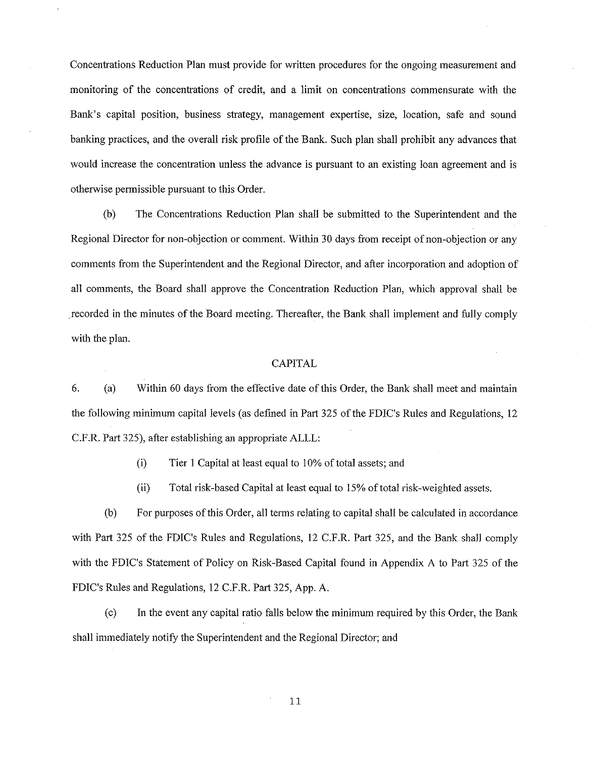Concentrations Reduction Plan must provide for written procedures for the ongoing measurement and monitoring of the concentrations of credit, and a limit on concentrations commensurate with the Bank's capital position, business strategy, management expertise, size, location, safe and sound banking practices, and the overall risk profile of the Bank. Such plan shall prohibit any advances that would increase the concentration unless the advance is pursuant to an existing loan agreement and is otherwise permissible pursuant to this Order.

(b) The Concentrations Reduction Plan shall be submitted to the Superintendent and the Regional Director for non-objection or comment. Within 30 days from receipt of non-objection or any comments from the Superintendent and the Regional Director, and after incorporation and adoption of all comments, the Board shall approve the Concentration Reduction Plan, which approval shall be .recorded in the minutes of the Board meeting. Thereafter, the Bank shall implement and fully comply with the plan.

# CAPITAL

6. (a) Within 60 days from the effective date of this Order, the Bank shall meet and maintain the following minimum capital levels (as defined in Part 325 of the FDIC's Rules and Regulations, 12 C.P.R. Part 325), after establishing an appropriate ALLL:

(i) Tier 1 Capital at least equal to 10% of total assets; and

(ii) Total risk-based Capital at least equal to 15% of total risk-weighted assets.

(b) For purposes of this Order, all terms relating to capital shall be calculated in accordance with Part 325 of the FDIC's Rules and Regulations, 12 C.P.R. Part 325, and the Bank shall comply with the FDIC's Statement of Policy on Risk-Based Capital found in Appendix A to Part 325 of the FDIC's Rules and Regulations, 12 C.P.R. Part 325, App. A.

(c) In the event any capital ratio falls below the minimum required by this Order, the Bank shall immediately notify the Superintendent and the Regional Director; and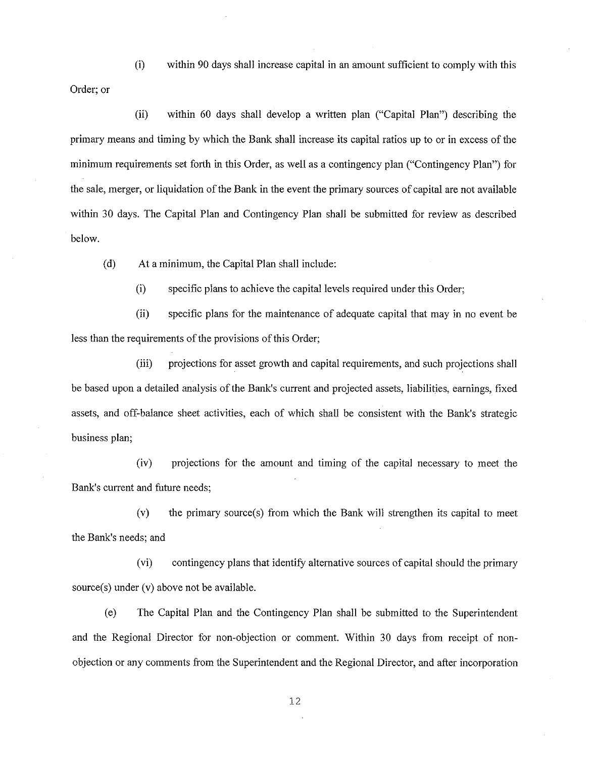(i) within 90 days shall increase capital in an amount sufficient to comply with this

Order; or

(ii) within 60 days shall develop a written plan ("Capital Plan") describing the primary means and timing by which the Bank shall increase its capital ratios up to or in excess of the minimum requirements set forth in this Order, as well as a contingency plan ("Contingency Plan") for the sale, merger, or liquidation of the Bank in the event the primary sources ofcapital are not available within 30 days. The Capital Plan and Contingency Plan shall be submitted for review as described below.

(d) At a minimum, the Capital Plan shall include:

(i) specific plans to achieve the capital levels required under this Order;

(ii) specific plans for the maintenance of adequate capital that may in no event be less than the requirements of the provisions of this Order;

(iii) projections for asset growth and capital requirements, and such projections shall be based upon a detailed analysis of the Bank's current and projected assets, liabilities, earnings, fixed assets, and off-balance sheet activities, each of which shall be consistent with the Bank's strategic business plan;

(iv) projections for the amount and timing of the capital necessary to meet the Bank's current and future needs;

(v) the primary source(s) from which the Bank will strengthen its capital to meet the Bank's needs; and

(vi) contingency plans that identify alternative sources of capital should the primary source(s) under (v) above not be available.

(e) The Capital Plan and the Contingency Plan shall be submitted to the Superintendent and the Regional Director for non-objection or comment. Within 30 days from receipt of nonobjection or any comments from the Superintendent and the Regional Director, and after incorporation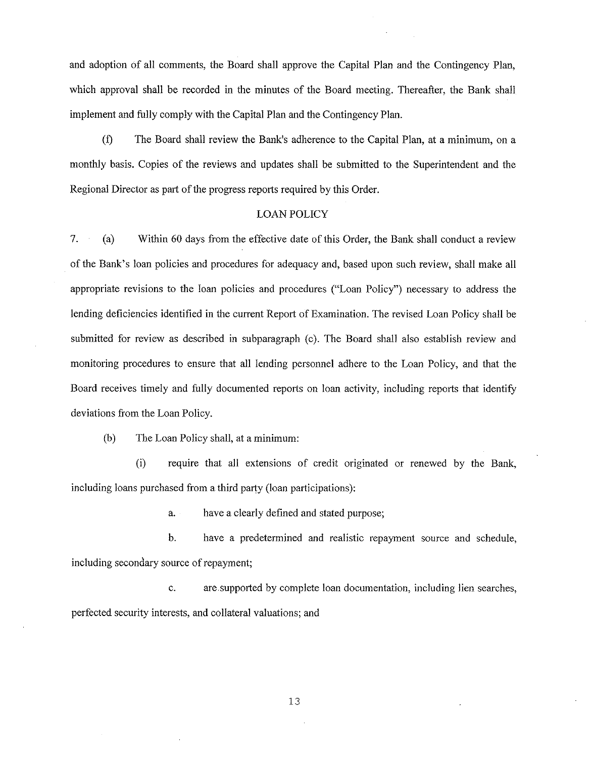and adoption of all comments, the Board shall approve the Capital Plan and the Contingency Plan, which approval shall be recorded in the minutes of the Board meeting. Thereafter, the Bank shall implement and fully comply with the Capital Plan and the Contingency Plan.

(f) The Board shall review the Bank's adherence to the Capital Plan, at a minimum, on a monthly basis. Copies of the reviews and updates shall be submitted to the Superintendent and the Regional Director as part of the progress reports required by this Order.

# LOAN POLICY

7. (a) Within 60 days from the effective date of this Order, the Bank shall conduct a review of the Bank's loan policies and procedures for adequacy and, based upon such review, shall make all appropriate revisions to the loan policies and procedures ("Loan Policy") necessary to address the lending deficiencies identified in the current Report of Examination. The revised Loan Policy shall be submitted for review as described in subparagraph (c). The Board shall also establish review and monitoring procedures to ensure that all lending personnel adhere to the Loan Policy, and that the Board receives timely and fully documented reports on loan activity, including reports that identify deviations from the Loan Policy.

(b) The Loan Policy shall, at a minimum:

(i) require that all extensions of credit originated or renewed by the Bank, including loans purchased from a third party (loan participations):

a. have a clearly defined and stated purpose;

b. have a predetermined and realistic repayment source and schedule, including secondary source of repayment;

c. are supported by complete loan documentation, including lien searches, perfected security interests, and collateral valuations; and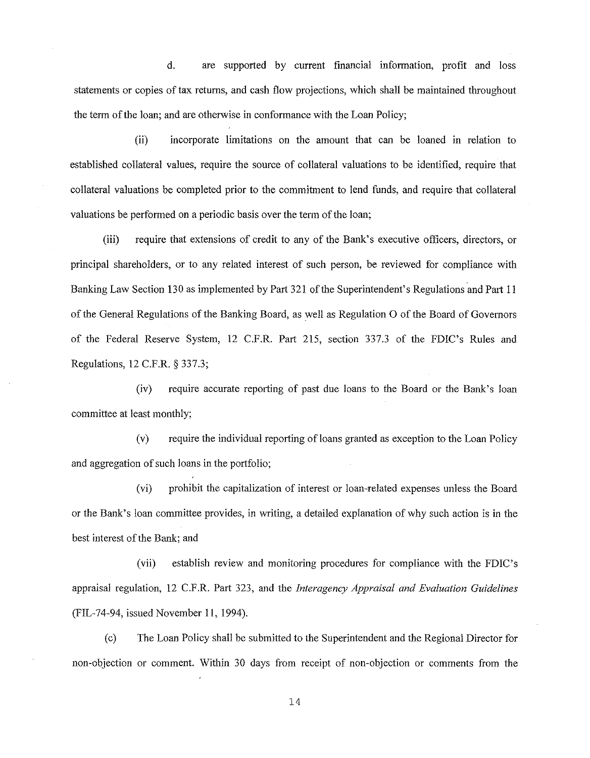d. are supported by current financial information, profit and loss statements or copies of tax returns, and cash flow projections, which shall be maintained throughout the term of the loan; and are otherwise in conformance with the Loan Policy;

(ii) incorporate limitations on the amount that can be loaned in relation to established collateral values, require the source of collateral valuations to be identified, require that collateral valuations be completed prior to the commitment to lend funds, and require that collateral valuations be performed on a periodic basis over the term of the loan;

(iii) require that extensions of credit to any of the Bank's executive officers, directors, or principal shareholders, or to any related interest of such person, be reviewed for compliance with Banking Law Section 130 as implemented by Part 321 of the Superintendent's Regulations and Part 11 of the General Regulations of the Banking Board, as well as Regulation 0 of the Board of Governors of the Federal Reserve System, 12 C.F.R. Part 215, section 337.3 of the FDIC's Rules and Regulations, 12 C.F.R. § 337.3;

(iv) require accurate reporting of past due loans to the Board or the Bank's loan committee at least monthly;

(v) require the individual reporting ofloans granted as exception to the Loan Policy and aggregation of such loans in the portfolio;

(vi) prohibit the capitalization of interest or loan-related expenses unless the Board or the Bank's loan committee provides, in writing, a detailed explanation of why such action is in the best interest of the Bank; and

(vii) establish review and monitoring procedures for compliance with the FDIC's appraisal regulation, 12 C.F.R. Part 323, and the *Interagency Appraisal and Evaluation Guidelines*  (FIL-74-94, issued November ll, 1994).

(c) The Loan Policy shall be submitted to the Superintendent and the Regional Director for non-objection or comment. Within 30 days from receipt of non-objection or comments from the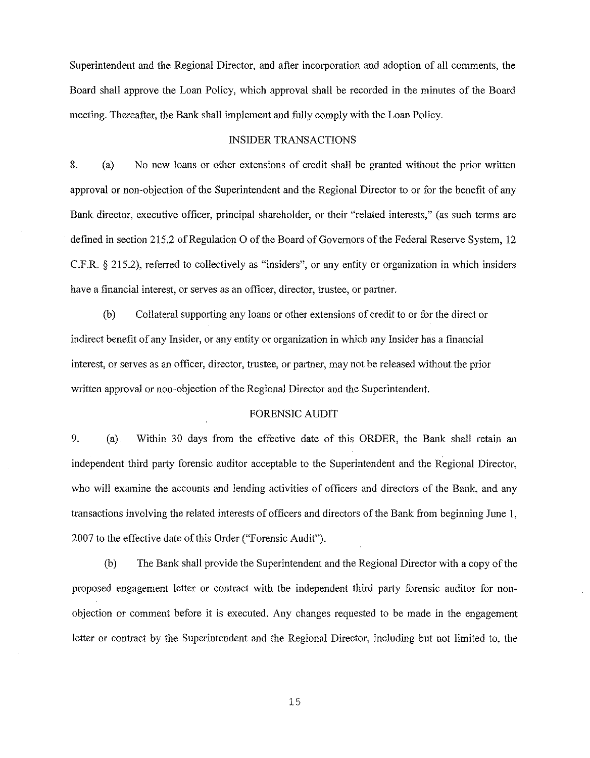Superintendent and the Regional Director, and after incorporation and adoption of all comments, the Board shall approve the Loan Policy, which approval shall be recorded in the minutes of the Board meeting. Thereafter, the Bank shall implement and fully comply with the Loan Policy.

### INSIDER TRANSACTIONS

8. (a) No new loans or other extensions of credit shall be granted without the prior written approval or non-objection of the Superintendent and the Regional Director to or for the benefit of any Bank director, executive officer, principal shareholder, or their "related interests," (as such terms are defined in section 215.2 of Regulation O of the Board of Governors of the Federal Reserve System, 12 C.F.R. § 215.2), referred to collectively as "insiders", or any entity or organization in which insiders have a financial interest, or serves as an officer, director, trustee, or partner.

(b) Collateral supporting any loans or other extensions of credit to or for the direct or indirect benefit of any Insider, or any entity or organization in which any Insider has a financial interest, or serves as an officer, director, trustee, or partner, may not be released without the prior written approval or non-objection of the Regional Director and the Superintendent.

### FORENSIC AUDIT

9. (a) Within 30 days from the effective date of this ORDER, the Bank shall retain an independent third party forensic auditor acceptable to the Superintendent and the Regional Director, who will examine the accounts and lending activities of officers and directors of the Bank, and any transactions involving the related interests of officers and directors ofthe Bank from beginning June 1, 2007 to the effective date of this Order ("Forensic Audit").

(b) The Bank shall provide the Superintendent and the Regional Director with a copy of the proposed engagement letter or contract with the independent third party forensic auditor for nonobjection or comment before it is executed. Any changes requested to be made in the engagement letter or contract by the Superintendent and the Regional Director, including but not limited to, the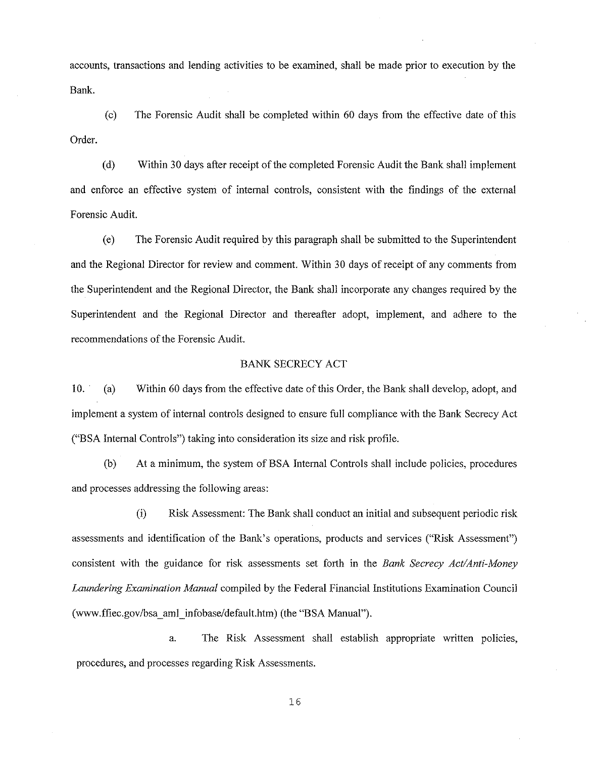accounts, transactions and lending activities to be examined, shall be made prior to execution by the Bank.

 $(c)$  The Forensic Audit shall be completed within 60 days from the effective date of this Order.

(d) Within 30 days after receipt of the completed Forensic Audit the Bank shall implement and enforce an effective system of internal controls, consistent with the findings of the external Forensic Audit.

(e) The Forensic Audit required by this paragraph shall be submitted to the Superintendent and the Regional Director for review and comment. Within 30 days of receipt of any comments from the Superintendent and the Regional Director, the Bank shall incorporate any changes required by the Superintendent and the Regional Director and thereafter adopt, implement, and adhere to the recommendations of the Forensic Audit.

### BANK SECRECY ACT

10. (a) Within 60 days from the effective date of this Order, the Bank shall develop, adopt, and implement a system of internal controls designed to ensure full compliance with the Bank Secrecy Act ("BSA Internal Controls") taking into consideration its size and risk profile.

(b) At a minimum, the system of BSA Internal Controls shall include policies, procedures and processes addressing the following areas:

(i) Risk Assessment: The Bank shall conduct an initial and subsequent periodic risk assessments and identification of the Bank's operations, products and services ("Risk Assessment") consistent with the guidance for risk assessments set forth in the *Bank Secrecy Act/Anti-Money Laundering Examination Manual* compiled by the Federal Financial Institutions Examination Council (www.ffiec.gov/bsa\_ aml\_infobase/default.htm) (the "BSA Manual").

a. The Risk Assessment shall establish appropriate written policies, procedures, and processes regarding Risk Assessments.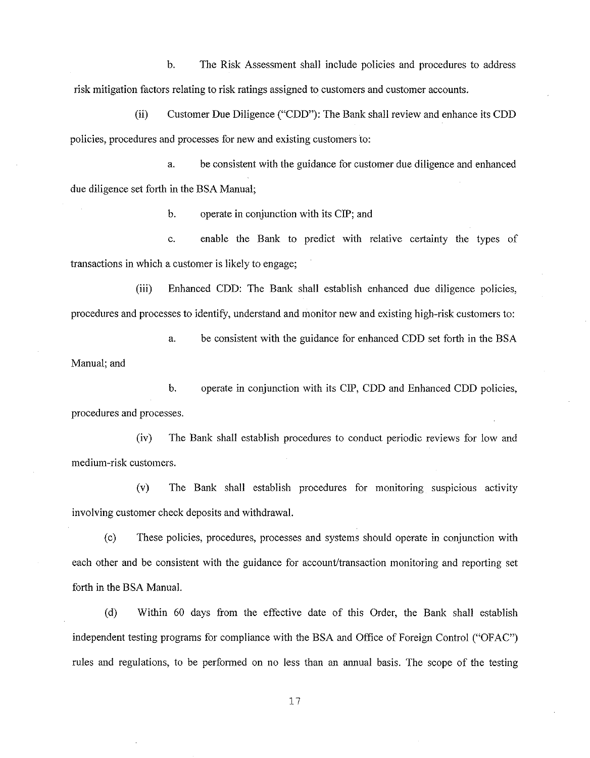b. The Risk Assessment shall include policies and procedures to address risk mitigation factors relating to risk ratings assigned to customers and customer accounts.

(ii) Customer Due Diligence ("CDD"): The Bank shall review and enhance its CDD policies, procedures and processes for new and existing customers to:

a. be consistent with the guidance for customer due diligence and enhanced due diligence set forth in the BSA Manual;

b. operate in conjunction with its CIP; and

c. enable the Bank to predict with relative certainty the types of transactions in which a customer is likely to engage;

(iii) Enhanced CDD: The Bank shall establish enhanced due diligence policies, procedures and processes to identify, understand and monitor new and existing high-risk customers to:

a. be consistent with the guidance for enhanced CDD set forth in the BSA Manual; and

b. operate in conjunction with its CIP, CDD and Enhanced CDD policies, procedures and processes.

(iv) The Bank shall establish procedures to conduct periodic reviews for low and medium-risk customers.

(v) The Bank shall establish procedures for monitoring suspicious activity involving customer check deposits and withdrawal.

(c) These policies, procedures, processes and systems should operate in conjunction with each other and be consistent with the guidance for account/transaction monitoring and reporting set forth in the BSA Manual.

(d) Within 60 days from the effective date of this Order, the Bank shall establish independent testing programs for compliance with the BSA and Office of Foreign Control ("OFAC") rules and regulations, to be performed on no less than an annual basis. The scope of the testing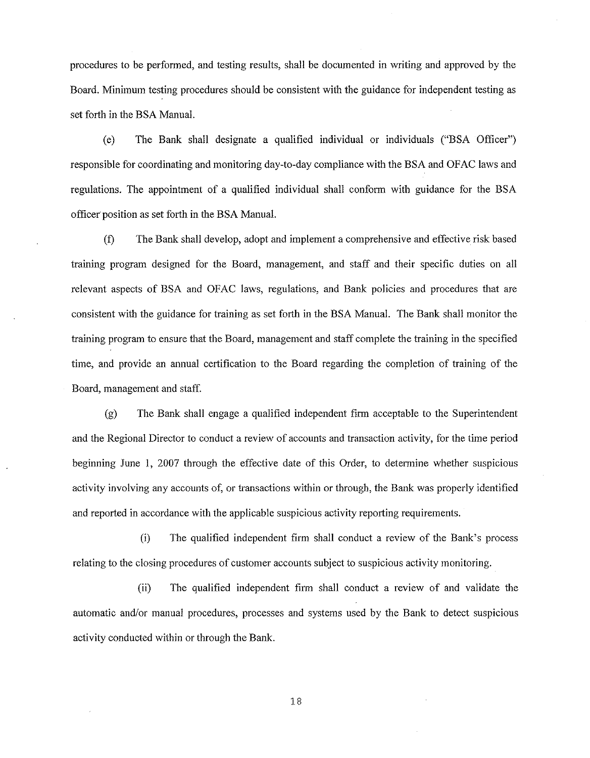procedures to be performed, and testing results, shall be documented in writing and approved by the Board. Minimum testing procedures should be consistent with the guidance for independent testing as set forth in the BSA Manual.

(e) The Bank shall designate a qualified individual or individuals ("BSA Officer") responsible for coordinating and monitoring day-to-day compliance with the BSA and OFAC laws and regulations. The appointment of a qualified individual shall conform with guidance for the BSA officer position as set forth in the BSA Manual.

(f) The Bank shall develop, adopt and implement a comprehensive and effective risk based training program designed for the Board, management, and staff and their specific duties on all relevant aspects of BSA and OFAC laws, regulations, and Bank policies and procedures that are consistent with the guidance for training as set forth in the BSA Manual. The Bank shall monitor the training program to ensure that the Board, management and staff complete the training in the specified time, and provide an annual certification to the Board regarding the completion of training of the Board, management and staff.

(g) The Bank shall engage a qualified independent firm acceptable to the Superintendent and the Regional Director to conduct a review of accounts and transaction activity, for the time period beginning June I, 2007 through the effective date of this Order, to determine whether suspicious activity involving any accounts of, or transactions within or through, the Bank was properly identified and reported in accordance with the applicable suspicious activity reporting requirements.

(i) The qualified independent firm shall conduct a review of the Bank's process relating to the closing procedures of customer accounts subject to suspicious activity monitoring.

(ii) The qualified independent firm shall conduct a review of and validate the automatic and/or manual procedures, processes and systems used by the Bank to detect suspicious activity conducted within or through the Bank.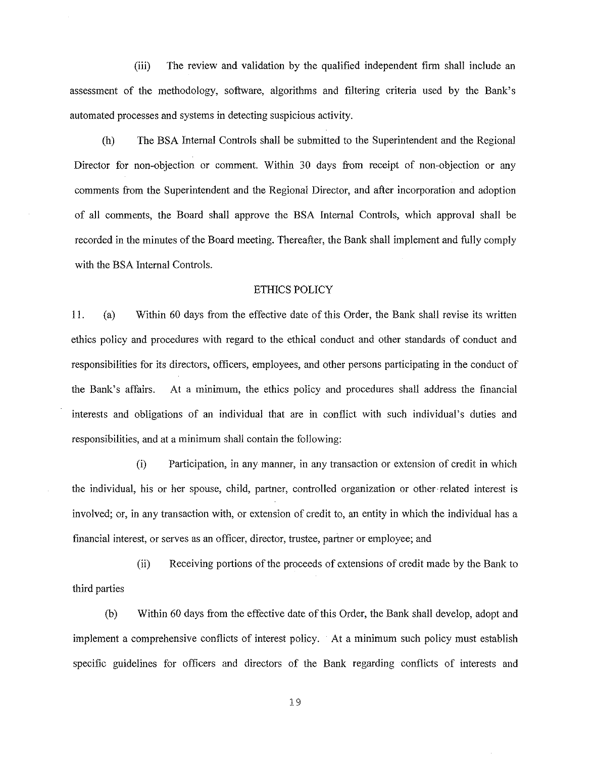(iii) The review and validation by the qualified independent firm shall include an assessment of the methodology, software, algorithms and filtering criteria used by the Bank's automated processes and systems in detecting suspicious activity.

(h) The BSA Internal Controls shall be submitted to the Superintendent and the Regional Director for non-objection or comment. Within 30 days from receipt of non-objection or any comments from the Superintendent and the Regional Director, and after incorporation and adoption of all comments, the Board shall approve the BSA Internal Controls, which approval shall be recorded in the minutes of the Board meeting. Thereafter, the Bank shall implement and fully comply with the BSA Internal Controls.

## ETHICS POLICY

11. (a) Within 60 days from the effective date of this Order, the Bank shall revise its written ethics policy and procedures with regard to the ethical conduct and other standards of conduct and responsibilities for its directors, officers, employees, and other persons participating in the conduct of the Bank's affairs. At a minimum, the ethics policy and procedures shall address the financial interests and obligations of an individual that are in conflict with such individual's duties and responsibilities, and at a minimum shall contain the following:

(i) Participation, in any manner, in any transaction or extension of credit in which the individual, his or her spouse, child, partner, controlled organization or other related interest is involved; or, in any transaction with, or extension of credit to, an entity in which the individual has a financial interest, or serves as an officer, director, trustee, partner or employee; and

(ii) Receiving portions of the proceeds of extensions of credit made by the Bank to third parties

(b) Within 60 days from the effective date of this Order, the Bank shall develop, adopt and implement a comprehensive conflicts of interest policy. · At a minimum such policy must establish specific guidelines for officers and directors of the Bank regarding conflicts of interests and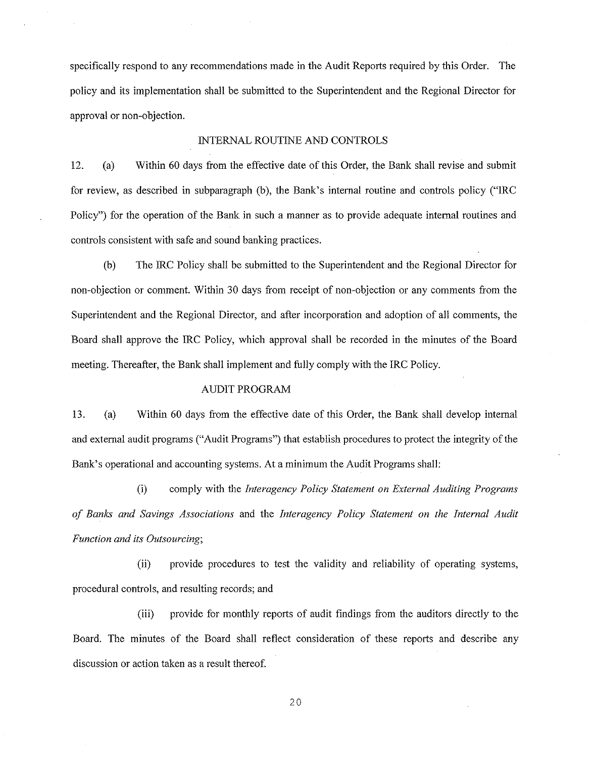specifically respond to any recommendations made in the Audit Reports required by this Order. The policy and its implementation shall be submitted to the Superintendent and the Regional Director for approval or non-objection.

### INTERNAL ROUTINE AND CONTROLS

12. (a) Within 60 days from the effective date of this Order, the Bank shall revise and submit for review, as described in subparagraph (b), the Bank's internal routine and controls policy ("IRC Policy") for the operation of the Bank in such a manner as to provide adequate internal routines and controls consistent with safe and sound banking practices.

(b) The IRC Policy shall be submitted to the Superintendent and the Regional Director for non-objection or comment. Within 30 days from receipt of non-objection or any comments from the Superintendent and the Regional Director, and after incorporation and adoption of all comments, the Board shall approve the IRC Policy, which approval shall be recorded in the minutes of the Board meeting. Thereafter, the Bank shall implement and fully comply with the IRC Policy.

# AUDIT PROGRAM

13. (a) Within 60 days from the effective date of this Order, the Bank shall develop internal and external audit programs ("Audit Programs") that establish procedures to protect the integrity ofthe Bank's operational and accounting systems. At a minimum the Audit Programs shall:

(i) comply with the *Interagency Policy Statement on External Auditing Programs of Banks and Savings Associations* and the *Interagency Policy Statement on the Internal Audit Function and its Outsourcing;* 

(ii) provide procedures to test the validity and reliability of operating systems, procedural controls, and resulting records; and

(iii) provide for monthly reports of audit findings from the auditors directly to the Board. The minutes of the Board shall reflect consideration of these reports and describe any discussion or action taken as a result thereof.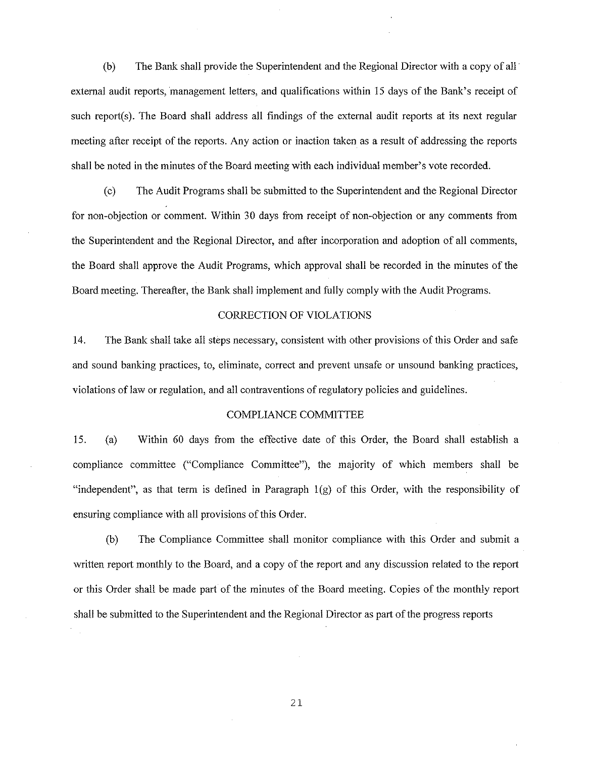(b) The Bank shall provide the Superintendent and the Regional Director with a copy of all· extemal audit reports, management letters, and qualifications within 15 days of the Bank's receipt of such report(s). The Board shall address all findings of the external audit reports at its next regular meeting after receipt of the reports. Any action or inaction taken as a result of addressing the reports shall be noted in the minutes of the Board meeting with each individual member's vote recorded.

(c) The Audit Programs shall be submitted to the Superintendent and the Regional Director for non-objection or comment. Within 30 days from receipt of non-objection or any comments from the Superintendent and the Regional Director, and after incorporation and adoption of all comments, the Board shall approve the Audit Programs, which approval shall be recorded in the minutes of the Board meeting. Thereafter, the Bank shall implement and fully comply with the Audit Programs.

### CORRECTION OF VIOLATIONS

14. The Bank shall take all steps necessary, consistent with other provisions of this Order and safe and sound banking practices, to, eliminate, correct and prevent unsafe or unsound banking practices, violations of law or regulation, and all contraventions of regulatory policies and guidelines.

### COMPLIANCE COMMITTEE

15. (a) Within 60 days from the effective date of this Order, the Board shall establish a compliance committee ("Compliance Committee"), the majority of which members shall be "independent", as that term is defined in Paragraph  $1(g)$  of this Order, with the responsibility of ensuring compliance with all provisions of this Order.

(b) The Compliance Committee shall monitor compliance with this Order and submit a written report monthly to the Board, and a copy of the report and any discussion related to the report or this Order shall be made part of the minutes of the Board meeting. Copies of the monthly report shall be submitted to the Superintendent and the Regional Director as part of the progress reports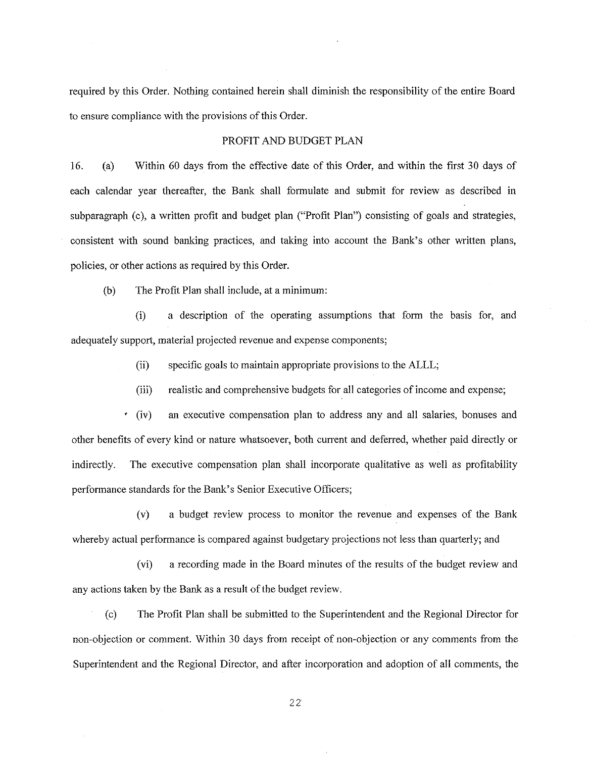required by this Order. Nothing contained herein shall diminish the responsibility of the entire Board to ensure compliance with the provisions of this Order.

### PROFIT AND BUDGET PLAN

16. (a) Within 60 days from the effective date of this Order, and within the first 30 days of each calendar year thereafter, the Bank shall formulate and submit for review as described in subparagraph (c), a written profit and budget plan ("Profit Plan") consisting of goals and strategies, consistent with sound banking practices, and taking into account the Bank's other written plans, policies, or other actions as required by this Order.

(b) The Profit Plan shall include, at a minimum:

(i) a description of the operating assumptions that form the basis for, and adequately support, material projected revenue and expense components;

(ii) specific goals to maintain appropriate provisions to the ALLL;

(iii) realistic and comprehensive budgets for all categories of income and expense;

(iv) an executive compensation plan to address any and all salaries, bonuses and other benefits of every kind or nature whatsoever, both current and deferred, whether paid directly or indirectly. The executive compensation plan shall incorporate qualitative as well as profitability performance standards for the Bank's Senior Executive Officers;

(v) a budget review process to monitor the revenue and expenses of the Bank whereby actual performance is compared against budgetary projections not less than quarterly; and

(vi) a recording made in the Board minutes of the results of the budget review and any actions taken by the Bank as a result of the budget review.

(c) The Profit Plan shall be submitted to the Superintendent and the Regional Director for non-objection or comment. Within 30 days from receipt of non-objection or any comments from the Superintendent and the Regional Director, and after incorporation and adoption of all comments, the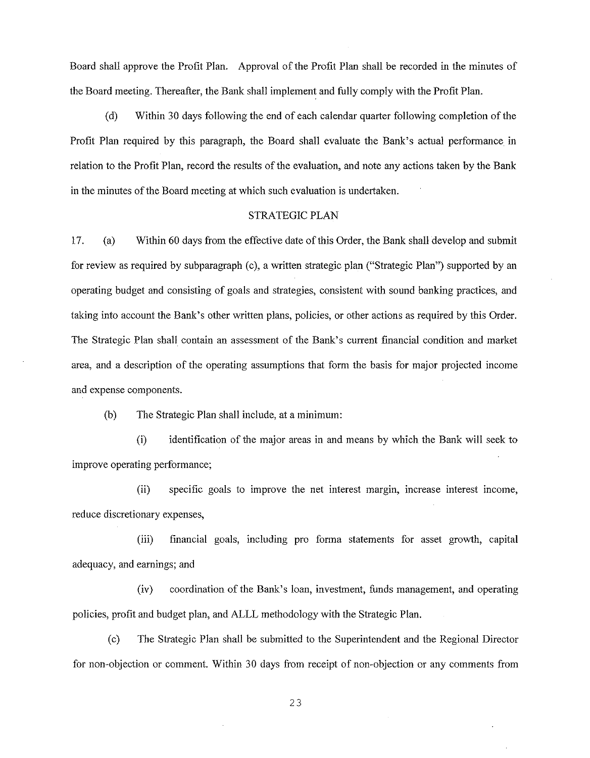Board shall approve the Profit Plan. Approval of the Profit Plan shall be recorded in the minutes of the Board meeting. Thereafter, the Bank shall implement and fully comply with the Profit Plan.

(d) Within 30 days following the end of each calendar quarter following completion of the Profit Plan required by this paragraph, the Board shall evaluate the Bank's actual performance in relation to the Profit Plan, record the results of the evaluation, and note any actions taken by the Bank in the minutes of the Board meeting at which such evaluation is undertaken.

## STRATEGIC PLAN

17. (a) Within 60 days from the effective date of this Order, the Bank shall develop and submit for review as required by subparagraph (c), a written strategic plan ("Strategic Plan") supported by an operating budget and consisting of goals and strategies, consistent with sound banking practices, and taking into account the Bank's other written plans, policies, or other actions as required by this Order. The Strategic Plan shall contain an assessment of the Bank's current financial condition and market area, and a description of the operating assumptions that form the basis for major projected income and expense components.

(b) The Strategic Plan shall include, at a minimum:

(i) identification of the major areas in and means by which the Bank will seek to improve operating performance;

(ii) specific goals to improve the net interest margin, increase interest income, reduce discretionary expenses,

(iii) financial goals, including pro forma statements for asset growth, capital adequacy, and earnings; and

(iv) coordination of the Bank's loan, investment, funds management, and operating policies, profit and budget plan, and ALLL methodology with the Strategic Plan.

(c) The Strategic Plan shall be submitted to the Superintendent and the Regional Director for non-objection or comment. Within 30 days from receipt of non-objection or any comments from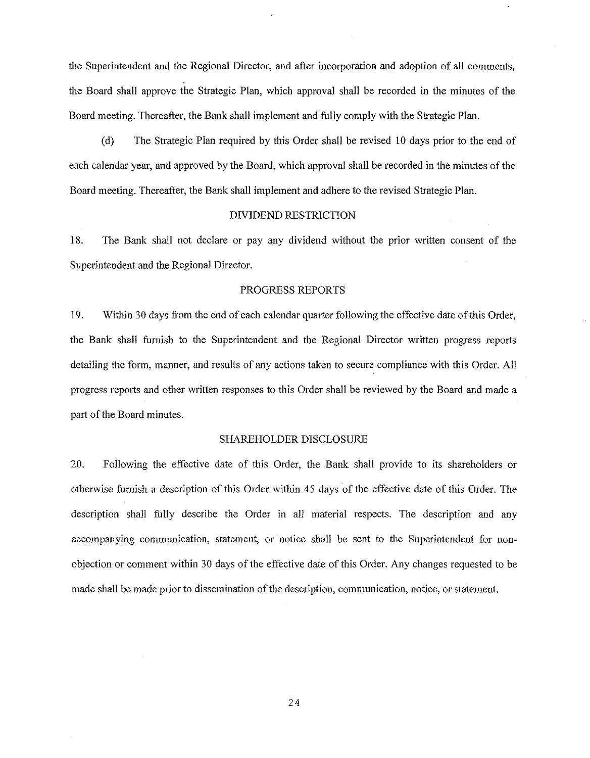the Superintendent and the Regional Director, and after incorporation and adoption of all comments, the Board shall approve the Strategic Plan, which approval shall be recorded in the minutes of the Board meeting. Thereafter, the Bank shall implement and fully comply with the Strategic Plan.

(d) The Strategic Plan required by this Order shall be revised 10 days prior to the end of each calendar year, and approved by the Board, which approval shall be recorded in the minutes of the Board meeting. Thereafter, the Bank shall implement and adhere to the revised Strategic Plan.

### DNIDEND RESTRICTION

18. The Bank shall not declare or pay any dividend without the prior written consent of the Superintendent and the Regional Director.

### PROGRESS REPORTS

19. Within 30 days from the end of each calendar quarter following the effective date of this Order, the Bank shall furnish to the Superintendent and the Regional Director written progress reports detailing the form, manner, and results of any actions taken to secure compliance with this Order. All progress reports and other written responses to this Order shall be reviewed by the Board and made a part of the Board minutes.

#### SHAREHOLDER DISCLOSURE

20. Following the effective date of this Order, the Bank shall provide to its shareholders or otherwise furnish a description of this Order within 45 days of the effective date of this Order. The description shall fully describe the Order in all material respects. The description and any accompanying communication, statement, or notice shall be sent to the Superintendent for nonobjection or comment within 30 days of the effective date of this Order. Any changes requested to be made shall be made prior to dissemination of the description, communication, notice, or statement.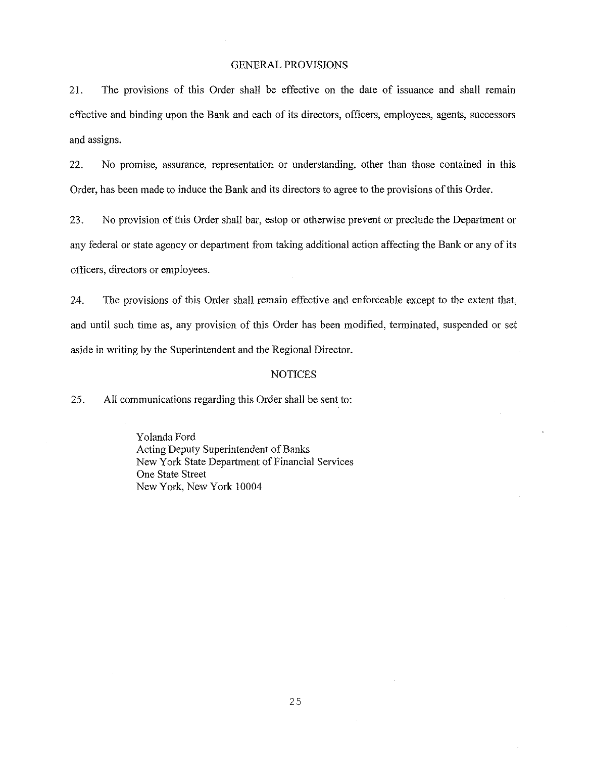## GENERAL PROVISIONS

21. The provisions of this Order shall be effective on the date of issuance and shall remain effective and binding upon the Bank and each of its directors, officers, employees, agents, successors and assigns.

22. No promise, assurance, representation or understanding, other than those contained in this Order, has been made to induce the Bank and its directors to agree to the provisions of this Order.

23. No provision of this Order shall bar, estop or otherwise prevent or preclude the Department or any federal or state agency or department from taking additional action affecting the Bank or any of its officers, directors or employees.

24. The provisions of this Order shall remain effective and enforceable except to the extent that, and until such time as, any provision of this Order has been modified, terminated, suspended or set aside in writing by the Superintendent and the Regional Director.

### NOTICES

25. All communications regarding this Order shall be sent to:

Yolanda Ford Acting Deputy Superintendent of Banks New York State Department of Financial Services One State Street New York, New York 10004